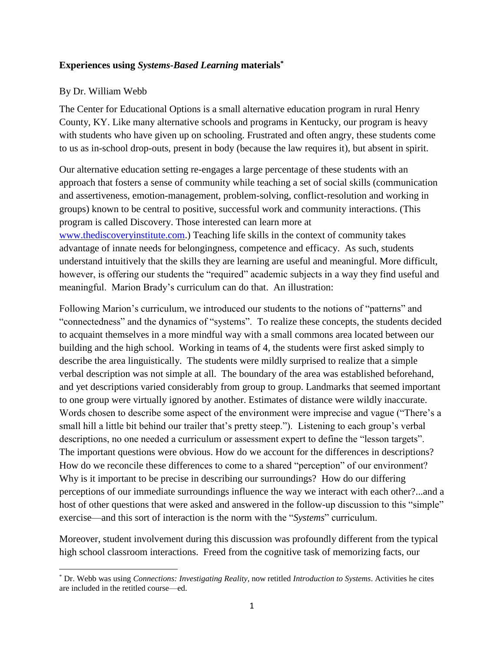## **Experiences using** *Systems-Based Learning* **materials\***

## By Dr. William Webb

 $\overline{\phantom{a}}$ 

The Center for Educational Options is a small alternative education program in rural Henry County, KY. Like many alternative schools and programs in Kentucky, our program is heavy with students who have given up on schooling. Frustrated and often angry, these students come to us as in-school drop-outs, present in body (because the law requires it), but absent in spirit.

Our alternative education setting re-engages a large percentage of these students with an approach that fosters a sense of community while teaching a set of social skills (communication and assertiveness, emotion-management, problem-solving, conflict-resolution and working in groups) known to be central to positive, successful work and community interactions. (This program is called Discovery. Those interested can learn more at [www.thediscoveryinstitute.com.](http://www.thediscoveryinstitute.com/)) Teaching life skills in the context of community takes advantage of innate needs for belongingness, competence and efficacy. As such, students understand intuitively that the skills they are learning are useful and meaningful. More difficult, however, is offering our students the "required" academic subjects in a way they find useful and meaningful. Marion Brady's curriculum can do that. An illustration:

Following Marion's curriculum, we introduced our students to the notions of "patterns" and "connectedness" and the dynamics of "systems". To realize these concepts, the students decided to acquaint themselves in a more mindful way with a small commons area located between our building and the high school. Working in teams of 4, the students were first asked simply to describe the area linguistically. The students were mildly surprised to realize that a simple verbal description was not simple at all. The boundary of the area was established beforehand, and yet descriptions varied considerably from group to group. Landmarks that seemed important to one group were virtually ignored by another. Estimates of distance were wildly inaccurate. Words chosen to describe some aspect of the environment were imprecise and vague ("There's a small hill a little bit behind our trailer that's pretty steep."). Listening to each group's verbal descriptions, no one needed a curriculum or assessment expert to define the "lesson targets". The important questions were obvious. How do we account for the differences in descriptions? How do we reconcile these differences to come to a shared "perception" of our environment? Why is it important to be precise in describing our surroundings? How do our differing perceptions of our immediate surroundings influence the way we interact with each other?...and a host of other questions that were asked and answered in the follow-up discussion to this "simple" exercise—and this sort of interaction is the norm with the "*Systems*" curriculum.

Moreover, student involvement during this discussion was profoundly different from the typical high school classroom interactions. Freed from the cognitive task of memorizing facts, our

<sup>\*</sup> Dr. Webb was using *Connections: Investigating Reality*, now retitled *Introduction to Systems*. Activities he cites are included in the retitled course—ed.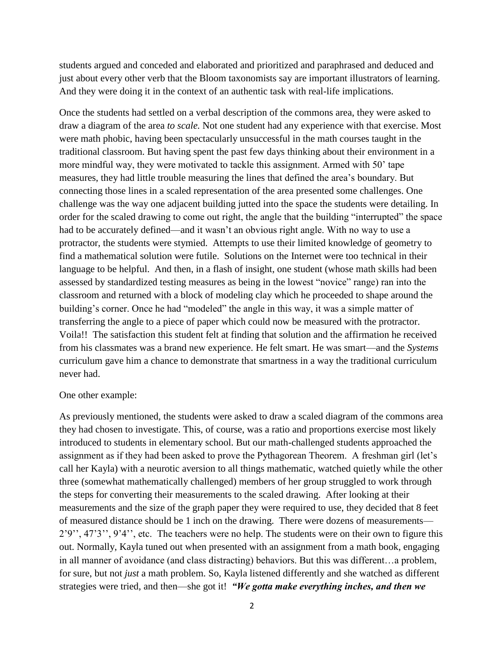students argued and conceded and elaborated and prioritized and paraphrased and deduced and just about every other verb that the Bloom taxonomists say are important illustrators of learning. And they were doing it in the context of an authentic task with real-life implications.

Once the students had settled on a verbal description of the commons area, they were asked to draw a diagram of the area *to scale.* Not one student had any experience with that exercise. Most were math phobic, having been spectacularly unsuccessful in the math courses taught in the traditional classroom. But having spent the past few days thinking about their environment in a more mindful way, they were motivated to tackle this assignment. Armed with 50' tape measures, they had little trouble measuring the lines that defined the area's boundary. But connecting those lines in a scaled representation of the area presented some challenges. One challenge was the way one adjacent building jutted into the space the students were detailing. In order for the scaled drawing to come out right, the angle that the building "interrupted" the space had to be accurately defined—and it wasn't an obvious right angle. With no way to use a protractor, the students were stymied. Attempts to use their limited knowledge of geometry to find a mathematical solution were futile. Solutions on the Internet were too technical in their language to be helpful. And then, in a flash of insight, one student (whose math skills had been assessed by standardized testing measures as being in the lowest "novice" range) ran into the classroom and returned with a block of modeling clay which he proceeded to shape around the building's corner. Once he had "modeled" the angle in this way, it was a simple matter of transferring the angle to a piece of paper which could now be measured with the protractor. Voila!! The satisfaction this student felt at finding that solution and the affirmation he received from his classmates was a brand new experience. He felt smart. He was smart—and the *Systems* curriculum gave him a chance to demonstrate that smartness in a way the traditional curriculum never had.

## One other example:

As previously mentioned, the students were asked to draw a scaled diagram of the commons area they had chosen to investigate. This, of course, was a ratio and proportions exercise most likely introduced to students in elementary school. But our math-challenged students approached the assignment as if they had been asked to prove the Pythagorean Theorem. A freshman girl (let's call her Kayla) with a neurotic aversion to all things mathematic, watched quietly while the other three (somewhat mathematically challenged) members of her group struggled to work through the steps for converting their measurements to the scaled drawing. After looking at their measurements and the size of the graph paper they were required to use, they decided that 8 feet of measured distance should be 1 inch on the drawing. There were dozens of measurements— 2'9'', 47'3'', 9'4'', etc. The teachers were no help. The students were on their own to figure this out. Normally, Kayla tuned out when presented with an assignment from a math book, engaging in all manner of avoidance (and class distracting) behaviors. But this was different…a problem, for sure, but not *just* a math problem. So, Kayla listened differently and she watched as different strategies were tried, and then—she got it! *"We gotta make everything inches, and then we*